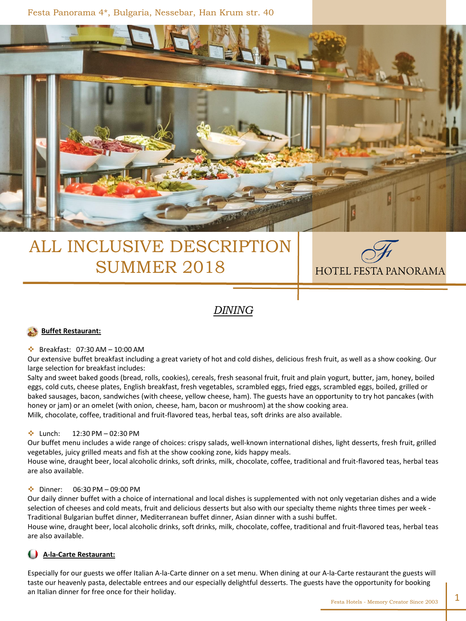Festa Panorama 4\*, Bulgaria, Nessebar, Han Krum str. 40



# ALL INCLUSIVE DESCRIPTION SUMMER 2018



## *DINING*

#### **Buffet Restaurant:**

#### Breakfast: 07:30 AM – 10:00 AM

Our extensive buffet breakfast including a great variety of hot and cold dishes, delicious fresh fruit, as well as a show cooking. Our large selection for breakfast includes:

Salty and sweet baked goods (bread, rolls, cookies), cereals, fresh seasonal fruit, fruit and plain yogurt, butter, jam, honey, boiled eggs, cold cuts, cheese plates, English breakfast, fresh vegetables, scrambled eggs, fried eggs, scrambled eggs, boiled, grilled or baked sausages, bacon, sandwiches (with cheese, yellow cheese, ham). The guests have an opportunity to try hot pancakes (with honey or jam) or an omelet (with onion, cheese, ham, bacon or mushroom) at the show cooking area. Milk, chocolate, coffee, traditional and fruit-flavored teas, herbal teas, soft drinks are also available.

#### $\cdot$  Lunch: 12:30 PM – 02:30 PM

Our buffet menu includes a wide range of choices: crispy salads, well-known international dishes, light desserts, fresh fruit, grilled vegetables, juicy grilled meats and fish at the show cooking zone, kids happy meals.

House wine, draught beer, local alcoholic drinks, soft drinks, milk, chocolate, coffee, traditional and fruit-flavored teas, herbal teas are also available.

#### Dinner: 06:30 PM – 09:00 PM

Our daily dinner buffet with a choice of international and local dishes is supplemented with not only vegetarian dishes and a wide selection of cheeses and cold meats, fruit and delicious desserts but also with our specialty theme nights three times per week - Traditional Bulgarian buffet dinner, Mediterranean buffet dinner, Asian dinner with a sushi buffet.

House wine, draught beer, local alcoholic drinks, soft drinks, milk, chocolate, coffee, traditional and fruit-flavored teas, herbal teas are also available.

#### **A-la-Carte Restaurant:**

Especially for our guests we offer Italian A-la-Carte dinner on a set menu. When dining at our A-la-Carte restaurant the guests will taste our heavenly pasta, delectable entrees and our especially delightful desserts. The guests have the opportunity for booking an Italian dinner for free once for their holiday.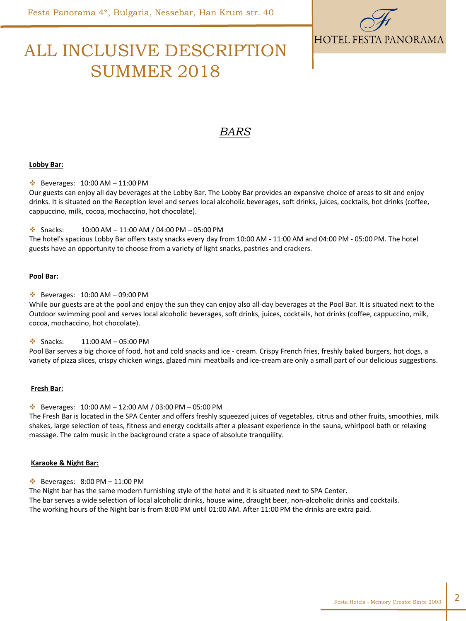

# ALL INCLUSIVE DESCRIPTION SUMMER 2018

## *BARS*

#### **Lobby Bar:**

 $\div$  Beverages: 10:00 AM - 11:00 PM

Our guests can enjoy all day beverages at the Lobby Bar. The Lobby Bar provides an expansive choice of areas to sit and enjoy drinks. It is situated on the Reception level and serves local alcoholic beverages, soft drinks, juices, cocktails, hot drinks (coffee, cappuccino, milk, cocoa, mochaccino, hot chocolate).

 $\div$  Snacks: 10:00 AM – 11:00 AM / 04:00 PM – 05:00 PM

The hotel's spacious Lobby Bar offers tasty snacks every day from 10:00 AM - 11:00 AM and 04:00 PM - 05:00 PM. The hotel guests have an opportunity to choose from a variety of light snacks, pastries and crackers.

#### **Pool Bar:**

 $\cdot \cdot$  Beverages: 10:00 AM - 09:00 PM

While our guests are at the pool and enjoy the sun they can enjoy also all-day beverages at the Pool Bar. It is situated next to the Outdoor swimming pool and serves local alcoholic beverages, soft drinks, juices, cocktails, hot drinks (coffee, cappuccino, milk, cocoa, mochaccino, hot chocolate).

 $\div$  Snacks: 11:00 AM – 05:00 PM

Pool Bar serves a big choice of food, hot and cold snacks and ice - cream. Crispy French fries, freshly baked burgers, hot dogs, a variety of pizza slices, crispy chicken wings, glazed mini meatballs and ice-cream are only a small part of our delicious suggestions.

#### **Fresh Bar:**

 $\cdot$  Beverages: 10:00 AM – 12:00 AM / 03:00 PM – 05:00 PM

The Fresh Bar is located in the SPA Center and offers freshly squeezed juices of vegetables, citrus and other fruits, smoothies, milk shakes, large selection of teas, fitness and energy cocktails after a pleasant experience in the sauna, whirlpool bath or relaxing massage. The calm music in the background crate a space of absolute tranquility.

#### **Karaoke & Night Bar:**

 $\cdot \cdot$  Beverages: 8:00 PM - 11:00 PM

The Night bar has the same modern furnishing style of the hotel and it is situated next to SPA Center. The bar serves a wide selection of local alcoholic drinks, house wine, draught beer, non-alcoholic drinks and cocktails. The working hours of the Night bar is from 8:00 PM until 01:00 AM. After 11:00 PM the drinks are extra paid.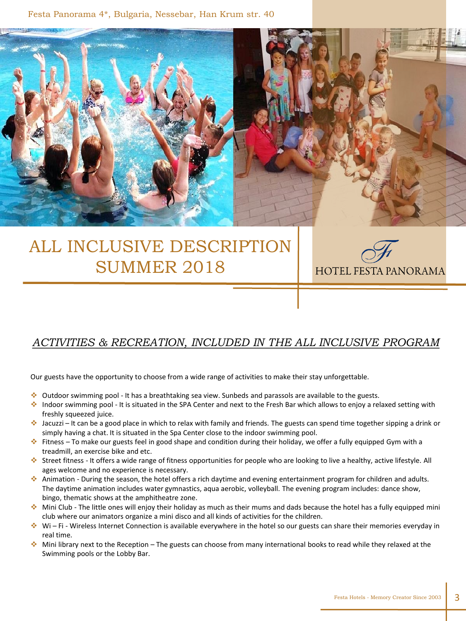Festa Panorama 4\*, Bulgaria, Nessebar, Han Krum str. 40

# ALL INCLUSIVE DESCRIPTION SUMMER 2018

## *ACTIVITIES & RECREATION, INCLUDED IN THE ALL INCLUSIVE PROGRAM*

Our guests have the opportunity to choose from a wide range of activities to make their stay unforgettable.

- Outdoor swimming pool It has a breathtaking sea view. Sunbeds and parassols are available to the guests.
- Indoor swimming pool It is situated in the SPA Center and next to the Fresh Bar which allows to enjoy a relaxed setting with freshly squeezed juice.
- Jacuzzi It can be a good place in which to relax with family and friends. The guests can spend time together sipping a drink or simply having a chat. It is situated in the Spa Center close to the indoor swimming pool.
- Fitness To make our guests feel in good shape and condition during their holiday, we offer a fully equipped Gym with a treadmill, an exercise bike and etc.
- Street fitness It offers a wide range of fitness opportunities for people who are looking to live a healthy, active lifestyle. All ages welcome and no experience is necessary.
- Animation During the season, the hotel offers a rich daytime and evening entertainment program for children and adults. The daytime animation includes water gymnastics, aqua aerobic, volleyball. The evening program includes: dance show, bingo, thematic shows at the amphitheatre zone.
- Mini Club The little ones will enjoy their holiday as much as their mums and dads because the hotel has a fully equipped mini club where our animators organize a mini disco and all kinds of activities for the children.
- $\cdot \cdot$  Wi Fi Wireless Internet Connection is available everywhere in the hotel so our guests can share their memories everyday in real time.
- ◆ Mini library next to the Reception The guests can choose from many international books to read while they relaxed at the Swimming pools or the Lobby Bar.

**HOTEL FESTA PANORAMA**